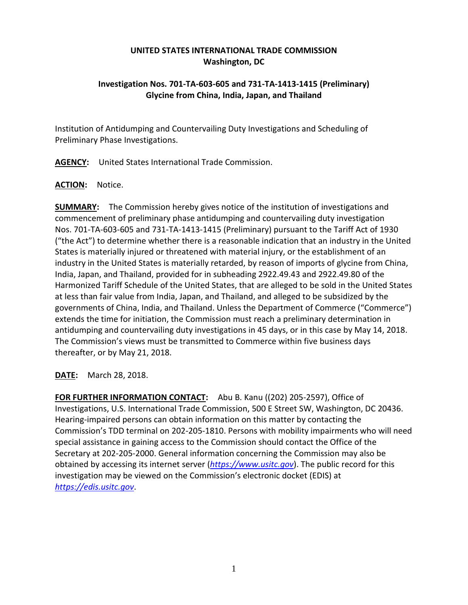## **UNITED STATES INTERNATIONAL TRADE COMMISSION Washington, DC**

## **Investigation Nos. 701-TA-603-605 and 731-TA-1413-1415 (Preliminary) Glycine from China, India, Japan, and Thailand**

Institution of Antidumping and Countervailing Duty Investigations and Scheduling of Preliminary Phase Investigations.

**AGENCY:** United States International Trade Commission.

## **ACTION:** Notice.

**SUMMARY:** The Commission hereby gives notice of the institution of investigations and commencement of preliminary phase antidumping and countervailing duty investigation Nos. 701-TA-603-605 and 731-TA-1413-1415 (Preliminary) pursuant to the Tariff Act of 1930 ("the Act") to determine whether there is a reasonable indication that an industry in the United States is materially injured or threatened with material injury, or the establishment of an industry in the United States is materially retarded, by reason of imports of glycine from China, India, Japan, and Thailand, provided for in subheading 2922.49.43 and 2922.49.80 of the Harmonized Tariff Schedule of the United States, that are alleged to be sold in the United States at less than fair value from India, Japan, and Thailand, and alleged to be subsidized by the governments of China, India, and Thailand. Unless the Department of Commerce ("Commerce") extends the time for initiation, the Commission must reach a preliminary determination in antidumping and countervailing duty investigations in 45 days, or in this case by May 14, 2018. The Commission's views must be transmitted to Commerce within five business days thereafter, or by May 21, 2018.

**DATE:** March 28, 2018.

**FOR FURTHER INFORMATION CONTACT:** Abu B. Kanu ((202) 205-2597), Office of Investigations, U.S. International Trade Commission, 500 E Street SW, Washington, DC 20436. Hearing-impaired persons can obtain information on this matter by contacting the Commission's TDD terminal on 202-205-1810. Persons with mobility impairments who will need special assistance in gaining access to the Commission should contact the Office of the Secretary at 202-205-2000. General information concerning the Commission may also be obtained by accessing its internet server (*[https://www.usitc.gov](https://www.usitc.gov/)*). The public record for this investigation may be viewed on the Commission's electronic docket (EDIS) at *[https://edis.usitc.gov](https://edis.usitc.gov/)*.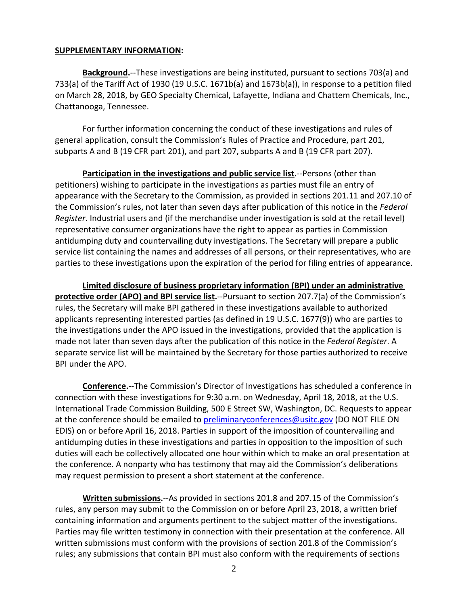## **SUPPLEMENTARY INFORMATION:**

**Background.**--These investigations are being instituted, pursuant to sections 703(a) and 733(a) of the Tariff Act of 1930 (19 U.S.C. 1671b(a) and 1673b(a)), in response to a petition filed on March 28, 2018, by GEO Specialty Chemical, Lafayette, Indiana and Chattem Chemicals, Inc., Chattanooga, Tennessee.

For further information concerning the conduct of these investigations and rules of general application, consult the Commission's Rules of Practice and Procedure, part 201, subparts A and B (19 CFR part 201), and part 207, subparts A and B (19 CFR part 207).

**Participation in the investigations and public service list.**--Persons (other than petitioners) wishing to participate in the investigations as parties must file an entry of appearance with the Secretary to the Commission, as provided in sections 201.11 and 207.10 of the Commission's rules, not later than seven days after publication of this notice in the *Federal Register*. Industrial users and (if the merchandise under investigation is sold at the retail level) representative consumer organizations have the right to appear as parties in Commission antidumping duty and countervailing duty investigations. The Secretary will prepare a public service list containing the names and addresses of all persons, or their representatives, who are parties to these investigations upon the expiration of the period for filing entries of appearance.

**Limited disclosure of business proprietary information (BPI) under an administrative protective order (APO) and BPI service list.**--Pursuant to section 207.7(a) of the Commission's rules, the Secretary will make BPI gathered in these investigations available to authorized applicants representing interested parties (as defined in 19 U.S.C. 1677(9)) who are parties to the investigations under the APO issued in the investigations, provided that the application is made not later than seven days after the publication of this notice in the *Federal Register*. A separate service list will be maintained by the Secretary for those parties authorized to receive BPI under the APO.

**Conference.**--The Commission's Director of Investigations has scheduled a conference in connection with these investigations for 9:30 a.m. on Wednesday, April 18, 2018, at the U.S. International Trade Commission Building, 500 E Street SW, Washington, DC. Requests to appear at the conference should be emailed to [preliminaryconferences@usitc.gov](mailto:preliminaryconferences@usitc.gov) (DO NOT FILE ON EDIS) on or before April 16, 2018. Parties in support of the imposition of countervailing and antidumping duties in these investigations and parties in opposition to the imposition of such duties will each be collectively allocated one hour within which to make an oral presentation at the conference. A nonparty who has testimony that may aid the Commission's deliberations may request permission to present a short statement at the conference.

**Written submissions.**--As provided in sections 201.8 and 207.15 of the Commission's rules, any person may submit to the Commission on or before April 23, 2018, a written brief containing information and arguments pertinent to the subject matter of the investigations. Parties may file written testimony in connection with their presentation at the conference. All written submissions must conform with the provisions of section 201.8 of the Commission's rules; any submissions that contain BPI must also conform with the requirements of sections